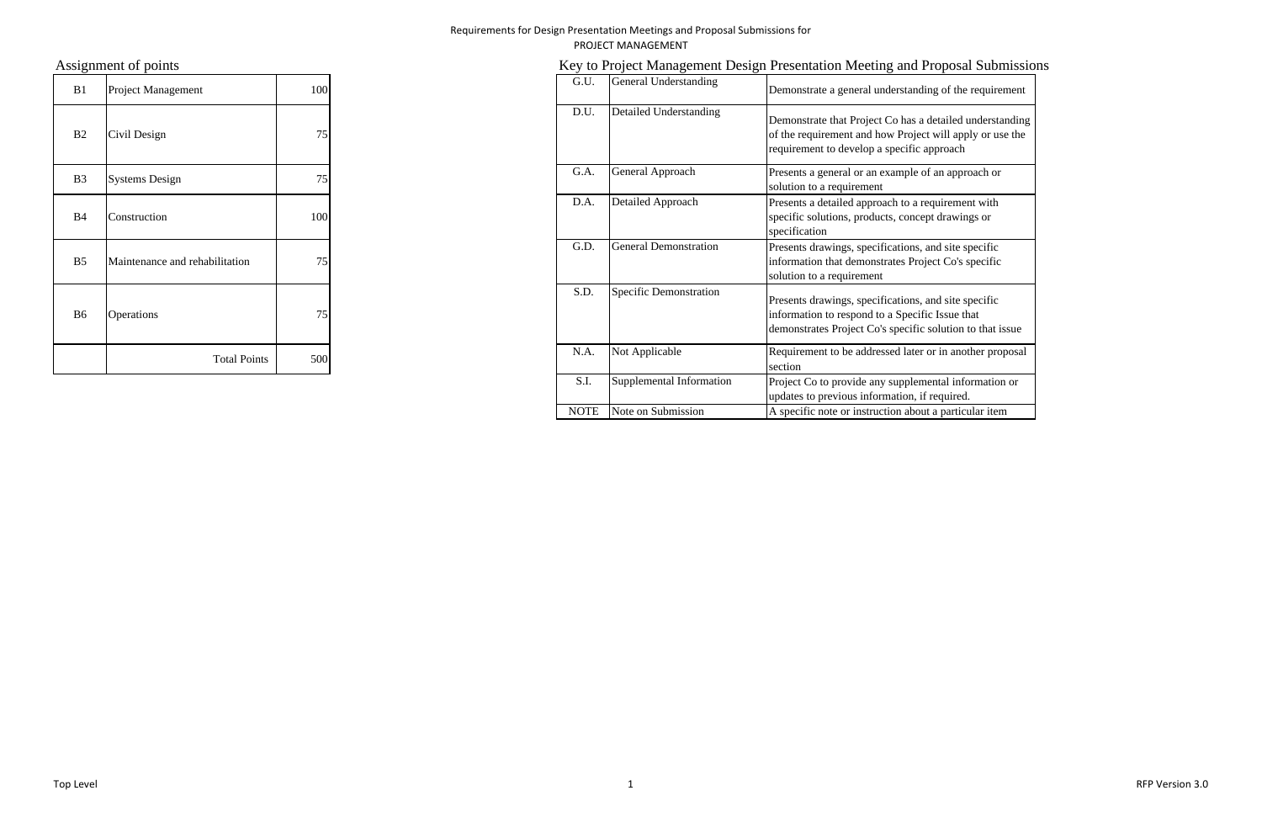| B1             | Project Management             | 100 |
|----------------|--------------------------------|-----|
| B2             | Civil Design                   | 75  |
| B <sub>3</sub> | <b>Systems Design</b>          | 75  |
| <b>B4</b>      | Construction                   | 100 |
| B <sub>5</sub> | Maintenance and rehabilitation | 75  |
| <b>B6</b>      | Operations                     | 75  |
|                | <b>Total Points</b>            | 500 |

# Assignment of points **Key to Project Management Design Presentation Meeting and Proposal Submissions**

| B1        | Project Management             | 100 | G.U.        | General Understanding        | Demonstrate a general understanding of the requirement                                                                                                               |
|-----------|--------------------------------|-----|-------------|------------------------------|----------------------------------------------------------------------------------------------------------------------------------------------------------------------|
| B2        | Civil Design                   | 75  | D.U.        | Detailed Understanding       | Demonstrate that Project Co has a detailed understanding<br>of the requirement and how Project will apply or use the<br>requirement to develop a specific approach   |
| <b>B3</b> | <b>Systems Design</b>          | 75  | G.A.        | General Approach             | Presents a general or an example of an approach or<br>solution to a requirement                                                                                      |
| B4        | Construction                   | 100 | D.A.        | Detailed Approach            | Presents a detailed approach to a requirement with<br>specific solutions, products, concept drawings or<br>specification                                             |
| <b>B5</b> | Maintenance and rehabilitation | 75  | G.D.        | <b>General Demonstration</b> | Presents drawings, specifications, and site specific<br>information that demonstrates Project Co's specific<br>solution to a requirement                             |
| B6        | <b>Operations</b>              | 75  | S.D.        | Specific Demonstration       | Presents drawings, specifications, and site specific<br>information to respond to a Specific Issue that<br>demonstrates Project Co's specific solution to that issue |
|           | <b>Total Points</b>            | 500 | N.A.        | Not Applicable               | Requirement to be addressed later or in another proposal<br>section                                                                                                  |
|           |                                |     | S.I.        | Supplemental Information     | Project Co to provide any supplemental information or<br>updates to previous information, if required.                                                               |
|           |                                |     | <b>NOTE</b> | Note on Submission           | A specific note or instruction about a particular item                                                                                                               |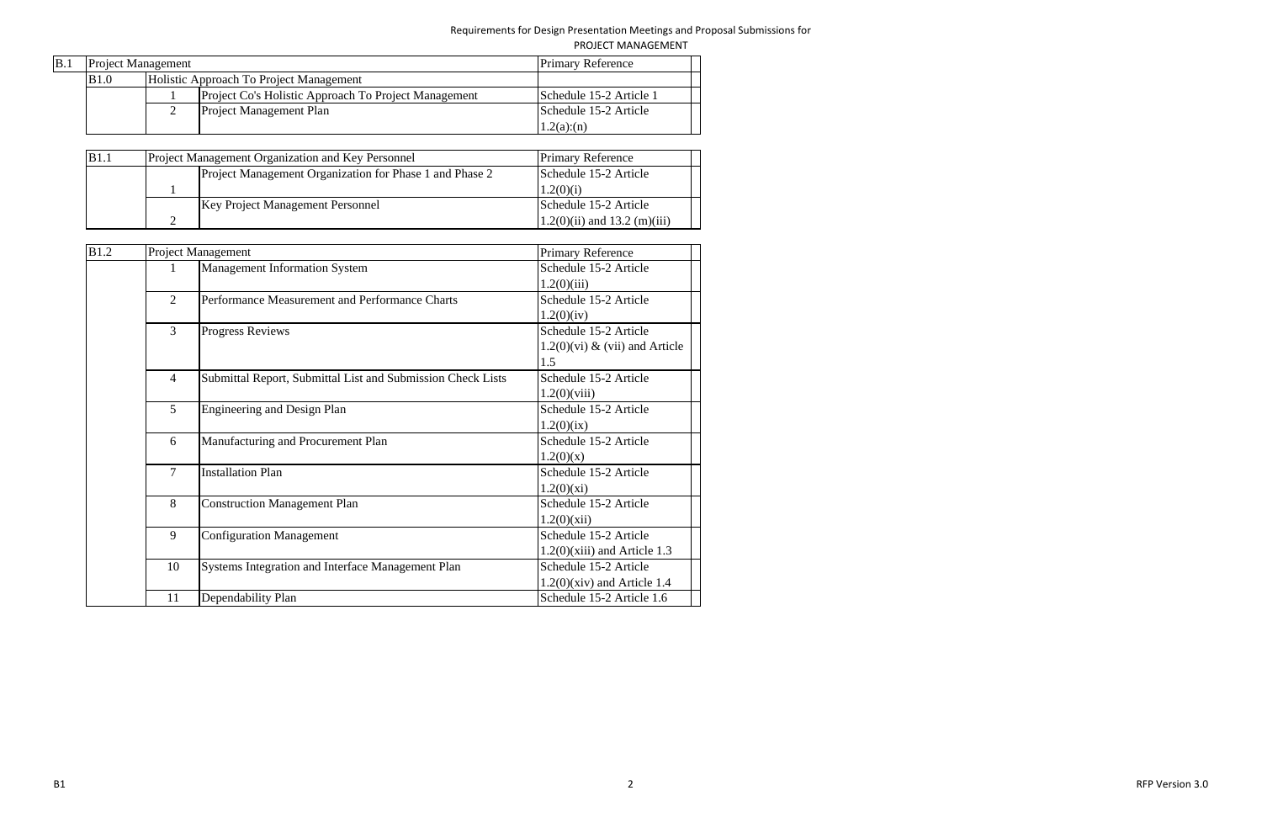| B.1 | <b>Project Management</b> |  | <b>Primary Reference</b>                             |                         |  |
|-----|---------------------------|--|------------------------------------------------------|-------------------------|--|
|     | <b>B</b> 1.0              |  | Holistic Approach To Project Management              |                         |  |
|     |                           |  | Project Co's Holistic Approach To Project Management | Schedule 15-2 Article 1 |  |
|     |                           |  | <b>Project Management Plan</b>                       | Schedule 15-2 Article   |  |
|     |                           |  |                                                      | 1.2(a)(n)               |  |

| B1.1 | Project Management Organization and Key Personnel       | <b>Primary Reference</b>        |
|------|---------------------------------------------------------|---------------------------------|
|      | Project Management Organization for Phase 1 and Phase 2 | Schedule 15-2 Article           |
|      |                                                         | 1.2(0)(i)                       |
|      | <b>Key Project Management Personnel</b>                 | Schedule 15-2 Article           |
|      |                                                         | $(1.2(0)(ii)$ and 13.2 (m)(iii) |

| <b>B1.2</b> |                | Project Management                                          | <b>Primary Reference</b>          |
|-------------|----------------|-------------------------------------------------------------|-----------------------------------|
|             |                | <b>Management Information System</b>                        | Schedule 15-2 Article             |
|             |                |                                                             | 1.2(0)(iii)                       |
|             | 2              | Performance Measurement and Performance Charts              | Schedule 15-2 Article             |
|             |                |                                                             | 1.2(0)(iv)                        |
|             | 3              | <b>Progress Reviews</b>                                     | Schedule 15-2 Article             |
|             |                |                                                             | $1.2(0)$ (vi) & (vii) and Article |
|             |                |                                                             | 1.5                               |
|             | $\overline{4}$ | Submittal Report, Submittal List and Submission Check Lists | Schedule 15-2 Article             |
|             |                |                                                             | $1.2(0)$ (viii)                   |
|             | 5              | <b>Engineering and Design Plan</b>                          | Schedule 15-2 Article             |
|             |                |                                                             | 1.2(0)(ix)                        |
|             | 6              | Manufacturing and Procurement Plan                          | Schedule 15-2 Article             |
|             |                |                                                             | 1.2(0)(x)                         |
|             | $\overline{7}$ | <b>Installation Plan</b>                                    | Schedule 15-2 Article             |
|             |                |                                                             | 1.2(0)(xi)                        |
|             | 8              | <b>Construction Management Plan</b>                         | Schedule 15-2 Article             |
|             |                |                                                             | 1.2(0)(xii)                       |
|             | 9              | <b>Configuration Management</b>                             | Schedule 15-2 Article             |
|             |                |                                                             | $1.2(0)$ (xiii) and Article 1.3   |
|             | 10             | Systems Integration and Interface Management Plan           | Schedule 15-2 Article             |
|             |                |                                                             | $1.2(0)$ (xiv) and Article 1.4    |
|             | 11             | Dependability Plan                                          | Schedule 15-2 Article 1.6         |

 2 RFPVersion 3.0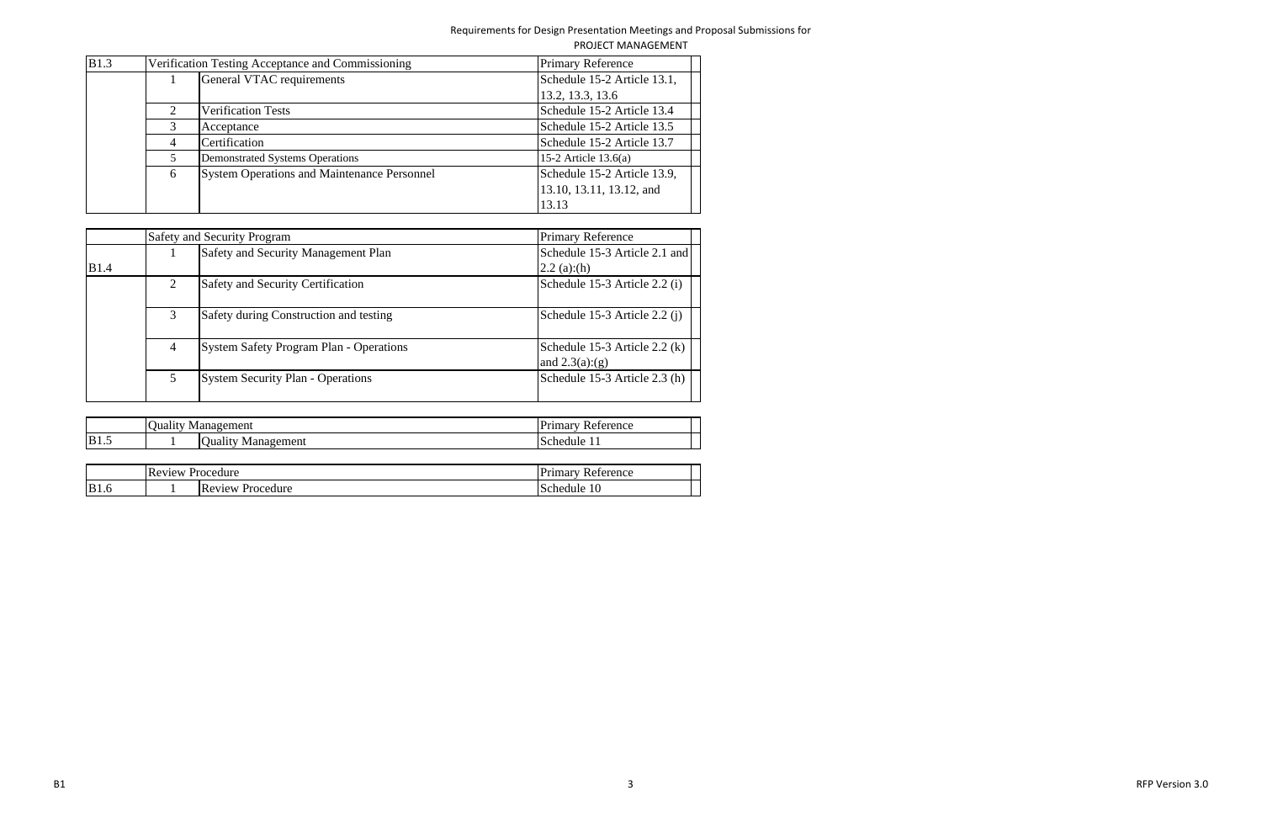| B1.3 |                             | Verification Testing Acceptance and Commissioning  | <b>Primary Reference</b>    |
|------|-----------------------------|----------------------------------------------------|-----------------------------|
|      |                             | General VTAC requirements                          | Schedule 15-2 Article 13.1, |
|      |                             |                                                    | 13.2, 13.3, 13.6            |
|      | $\mathcal{D}_{\mathcal{L}}$ | <b>Verification Tests</b>                          | Schedule 15-2 Article 13.4  |
|      |                             | Acceptance                                         | Schedule 15-2 Article 13.5  |
|      | 4                           | Certification                                      | Schedule 15-2 Article 13.7  |
|      | 5                           | <b>Demonstrated Systems Operations</b>             | 15-2 Article $13.6(a)$      |
|      | 6                           | <b>System Operations and Maintenance Personnel</b> | Schedule 15-2 Article 13.9, |
|      |                             |                                                    | 13.10, 13.11, 13.12, and    |
|      |                             |                                                    | 13.13                       |

|              |   | <b>Safety and Security Program</b>             | <b>Primary Reference</b>                         |
|--------------|---|------------------------------------------------|--------------------------------------------------|
|              |   | <b>Safety and Security Management Plan</b>     | Schedule 15-3 Article 2.1 and                    |
| <b>B</b> 1.4 |   |                                                | 2.2(a)(h)                                        |
|              |   | <b>Safety and Security Certification</b>       | Schedule 15-3 Article 2.2 (i)                    |
|              |   | Safety during Construction and testing         | Schedule 15-3 Article 2.2 (j)                    |
|              | 4 | <b>System Safety Program Plan - Operations</b> | Schedule 15-3 Article 2.2 (k)<br>and $2.3(a)(g)$ |
|              |   | <b>System Security Plan - Operations</b>       | Schedule 15-3 Article 2.3 (h)                    |

|             | ∽<br>Juality<br>Mar | Tanagement                                         | $1$ <i>i i</i> $\sim$ $\sim$ $\sim$ $\sim$<br>Reference<br>шна. |
|-------------|---------------------|----------------------------------------------------|-----------------------------------------------------------------|
| <b>B1.5</b> |                     | $\sim$<br>nagement<br><b>Juality</b><br>Tar<br>.WI | chedule<br>. .                                                  |

|             | $\sim$<br><b>Review</b> | Procedure                    | $D_{\text{rinnary}}$<br>eference<br>Ke <sup>1</sup><br>пппаі |
|-------------|-------------------------|------------------------------|--------------------------------------------------------------|
| <b>B1.6</b> |                         | $IR_t$<br>eview<br>Procedure | 10<br><b>chedule</b>                                         |

 3 RFPVersion 3.0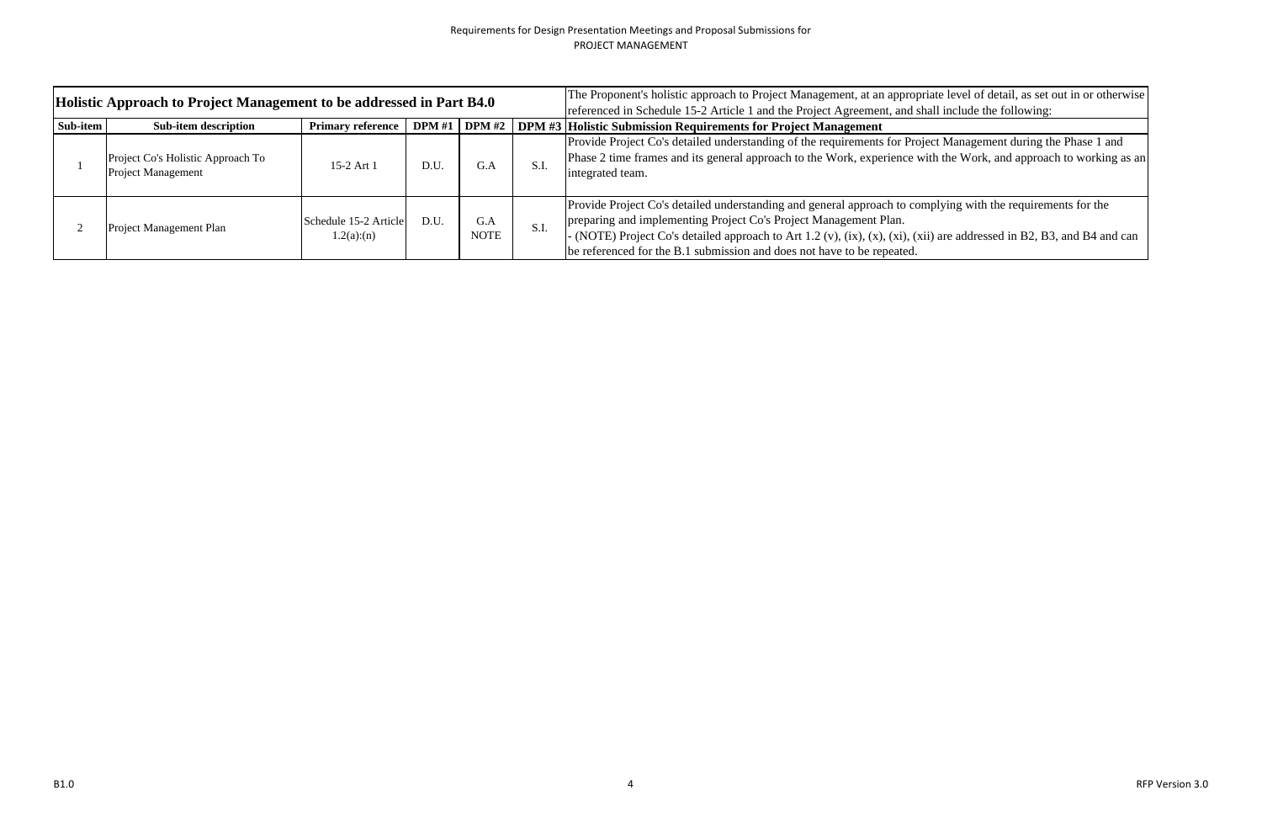| Holistic Approach to Project Management to be addressed in Part B4.0 |                                                                |                                    |               |                    |      | The Proponent's holistic approach to Project Management, at an appropriate level of detail, as set out in or otherwise<br>referenced in Schedule 15-2 Article 1 and the Project Agreement, and shall include the following:                                                                                                                                                         |
|----------------------------------------------------------------------|----------------------------------------------------------------|------------------------------------|---------------|--------------------|------|-------------------------------------------------------------------------------------------------------------------------------------------------------------------------------------------------------------------------------------------------------------------------------------------------------------------------------------------------------------------------------------|
| Sub-item                                                             | Sub-item description                                           | <b>Primary reference</b>           | <b>DPM</b> #1 |                    |      | DPM #2 DPM #3 Holistic Submission Requirements for Project Management                                                                                                                                                                                                                                                                                                               |
|                                                                      | Project Co's Holistic Approach To<br><b>Project Management</b> | 15-2 Art 1                         | D.U           | G.A                | S.I. | Provide Project Co's detailed understanding of the requirements for Project Management during the Phase 1 and<br>Phase 2 time frames and its general approach to the Work, experience with the Work, and approach to working as an<br>integrated team.                                                                                                                              |
|                                                                      | Project Management Plan                                        | Schedule 15-2 Article<br>1.2(a)(n) | D.U.          | G.A<br><b>NOTE</b> | S.I. | Provide Project Co's detailed understanding and general approach to complying with the requirements for the<br>preparing and implementing Project Co's Project Management Plan.<br>- (NOTE) Project Co's detailed approach to Art 1.2 (v), (ix), (x), (xi), (xii) are addressed in B2, B3, and B4 and can<br>be referenced for the B.1 submission and does not have to be repeated. |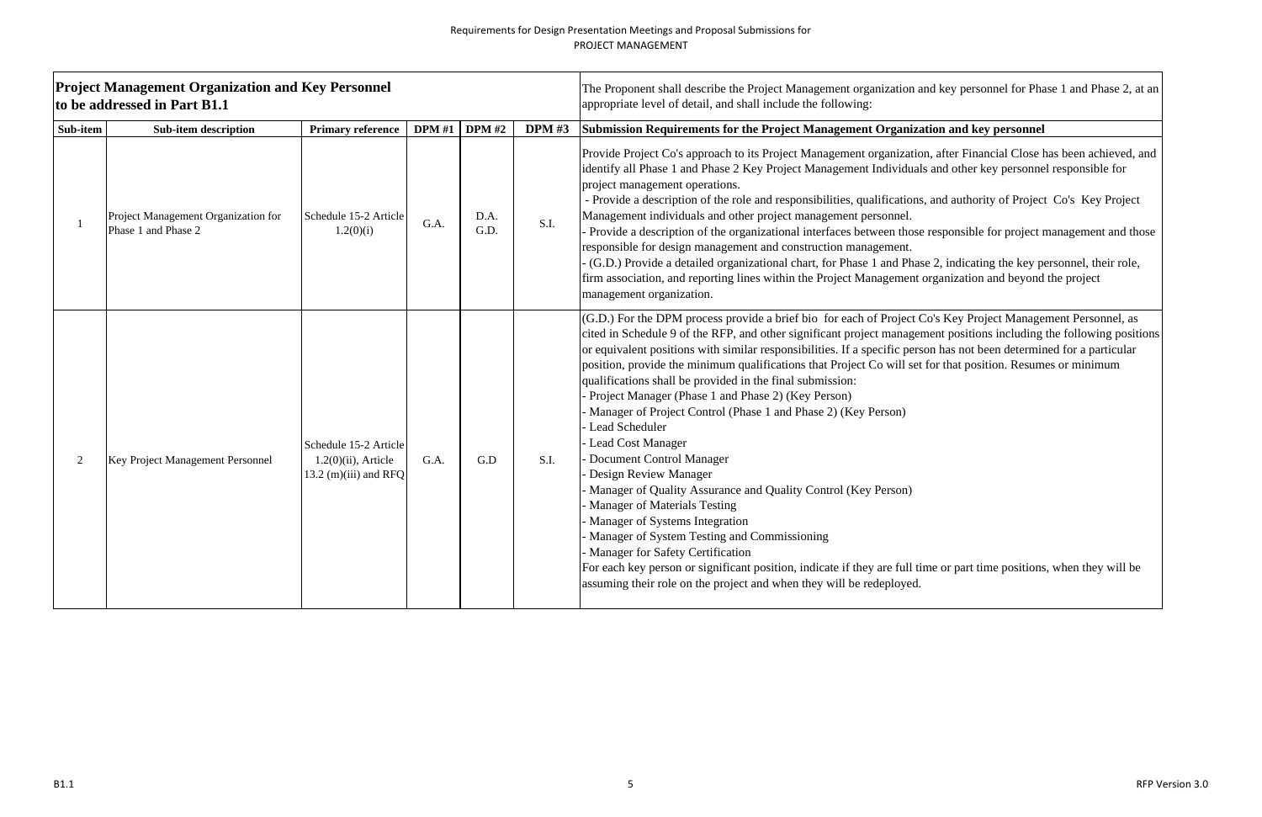|                | <b>Project Management Organization and Key Personnel</b><br>to be addressed in Part B1.1 |                                                                          |               |               |               | The Proponent shall describe the Project Management organization are<br>appropriate level of detail, and shall include the following:                                                                                                                                                                                                                                                                                                                                                                                                                                                                                                                                                                                                                                                                                                                                                                                                                                       |
|----------------|------------------------------------------------------------------------------------------|--------------------------------------------------------------------------|---------------|---------------|---------------|-----------------------------------------------------------------------------------------------------------------------------------------------------------------------------------------------------------------------------------------------------------------------------------------------------------------------------------------------------------------------------------------------------------------------------------------------------------------------------------------------------------------------------------------------------------------------------------------------------------------------------------------------------------------------------------------------------------------------------------------------------------------------------------------------------------------------------------------------------------------------------------------------------------------------------------------------------------------------------|
| Sub-item       | <b>Sub-item description</b>                                                              | <b>Primary reference</b>                                                 | <b>DPM</b> #1 | <b>DPM</b> #2 | <b>DPM #3</b> | Submission Requirements for the Project Management Organizat<br>Provide Project Co's approach to its Project Management organization                                                                                                                                                                                                                                                                                                                                                                                                                                                                                                                                                                                                                                                                                                                                                                                                                                        |
| $\mathbf{1}$   | Project Management Organization for<br>Phase 1 and Phase 2                               | Schedule 15-2 Article<br>1.2(0)(i)                                       | G.A.          | D.A.<br>G.D.  | S.I.          | identify all Phase 1 and Phase 2 Key Project Management Individuals<br>project management operations.<br>- Provide a description of the role and responsibilities, qualifications,<br>Management individuals and other project management personnel.<br>Provide a description of the organizational interfaces between those<br>responsible for design management and construction management.<br>(G.D.) Provide a detailed organizational chart, for Phase 1 and Phase<br>firm association, and reporting lines within the Project Management of<br>management organization.                                                                                                                                                                                                                                                                                                                                                                                               |
| $\overline{2}$ | Key Project Management Personnel                                                         | Schedule 15-2 Article<br>$1.2(0)(ii)$ , Article<br>13.2 (m)(iii) and RFQ | G.A.          | G.D           | S.I.          | (G.D.) For the DPM process provide a brief bio for each of Project C<br>cited in Schedule 9 of the RFP, and other significant project managem<br>or equivalent positions with similar responsibilities. If a specific person<br>position, provide the minimum qualifications that Project Co will set f<br>qualifications shall be provided in the final submission:<br>Project Manager (Phase 1 and Phase 2) (Key Person)<br>Manager of Project Control (Phase 1 and Phase 2) (Key Person)<br>- Lead Scheduler<br>Lead Cost Manager<br>Document Control Manager<br>Design Review Manager<br>Manager of Quality Assurance and Quality Control (Key Person)<br>Manager of Materials Testing<br>- Manager of Systems Integration<br>- Manager of System Testing and Commissioning<br>- Manager for Safety Certification<br>For each key person or significant position, indicate if they are full tin<br>assuming their role on the project and when they will be redeployed. |

nd key personnel for Phase 1 and Phase 2, at an

# tion and key personnel

- n, after Financial Close has been achieved, and and other key personnel responsible for
- and authority of Project Co's Key Project
- responsible for project management and those
- e 2, indicating the key personnel, their role, organization and beyond the project

Co's Key Project Management Personnel, as nent positions including the following positions on has not been determined for a particular for that position. Resumes or minimum

me or part time positions, when they will be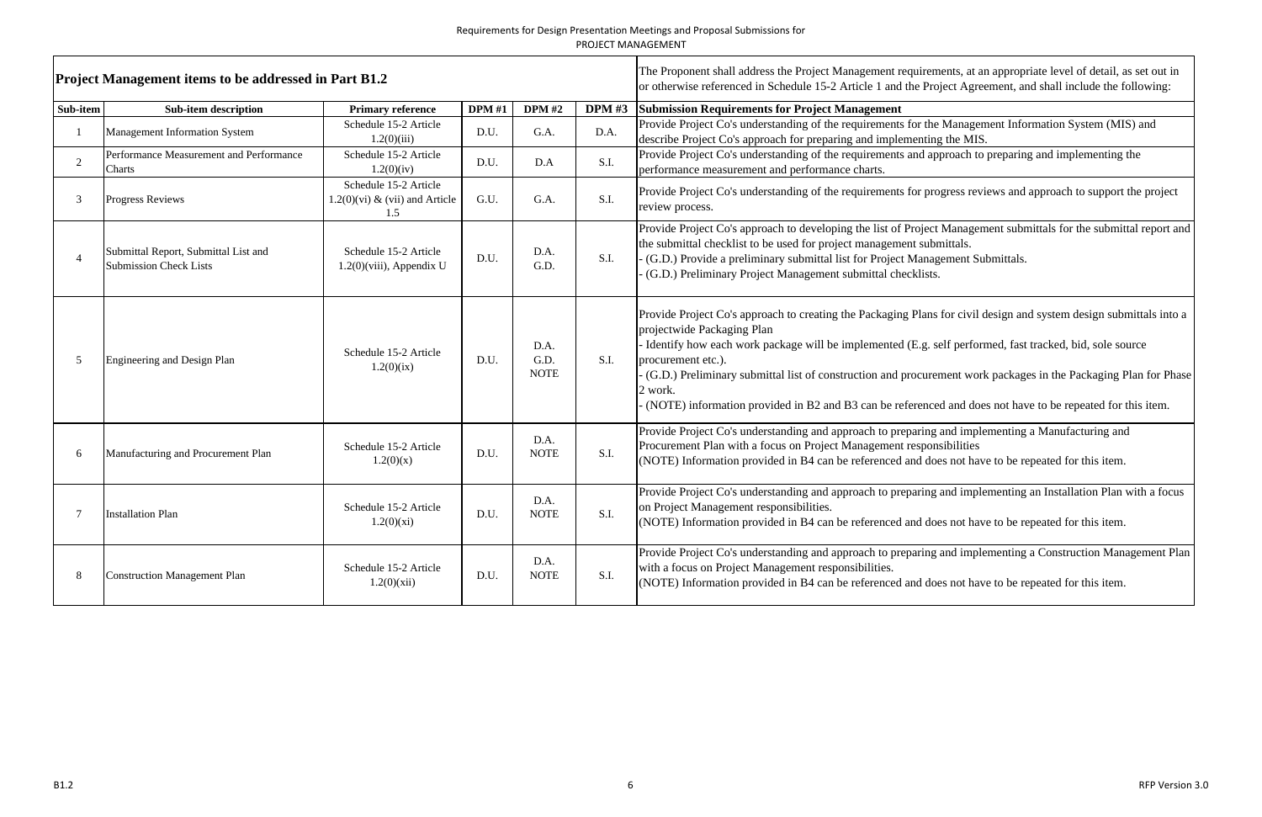|          | <b>Project Management items to be addressed in Part B1.2</b>          |                                                                   |               |                             |        | The Proponent shall address the Project Management requirements, at an appropriate level of detail, as set out in<br>or otherwise referenced in Schedule 15-2 Article 1 and the Project Agreement, and shall include the following:                                                                                                                                                                                                                                                                                           |
|----------|-----------------------------------------------------------------------|-------------------------------------------------------------------|---------------|-----------------------------|--------|-------------------------------------------------------------------------------------------------------------------------------------------------------------------------------------------------------------------------------------------------------------------------------------------------------------------------------------------------------------------------------------------------------------------------------------------------------------------------------------------------------------------------------|
| Sub-item | <b>Sub-item description</b>                                           | <b>Primary reference</b>                                          | <b>DPM</b> #1 | <b>DPM</b> #2               | DPM #3 | <b>Submission Requirements for Project Management</b>                                                                                                                                                                                                                                                                                                                                                                                                                                                                         |
|          | <b>Management Information System</b>                                  | Schedule 15-2 Article<br>1.2(0)(iii)                              | D.U.          | G.A.                        | D.A.   | Provide Project Co's understanding of the requirements for the Management Information System (MIS) and<br>describe Project Co's approach for preparing and implementing the MIS.                                                                                                                                                                                                                                                                                                                                              |
| 2        | Performance Measurement and Performance<br>Charts                     | Schedule 15-2 Article<br>1.2(0)(iv)                               | D.U.          | D.A                         | S.I.   | Provide Project Co's understanding of the requirements and approach to preparing and implementing the<br>performance measurement and performance charts.                                                                                                                                                                                                                                                                                                                                                                      |
| 3        | <b>Progress Reviews</b>                                               | Schedule 15-2 Article<br>$1.2(0)$ (vi) & (vii) and Article<br>1.5 | G.U.          | G.A.                        | S.I.   | Provide Project Co's understanding of the requirements for progress reviews and approach to support the project<br>review process.                                                                                                                                                                                                                                                                                                                                                                                            |
|          | Submittal Report, Submittal List and<br><b>Submission Check Lists</b> | Schedule 15-2 Article<br>$1.2(0)$ (viii), Appendix U              | D.U.          | D.A.<br>G.D.                | S.I.   | Provide Project Co's approach to developing the list of Project Management submittals for the submittal report and<br>the submittal checklist to be used for project management submittals.<br>(G.D.) Provide a preliminary submittal list for Project Management Submittals.<br>(G.D.) Preliminary Project Management submittal checklists.                                                                                                                                                                                  |
| -5       | Engineering and Design Plan                                           | Schedule 15-2 Article<br>1.2(0)(ix)                               | D.U.          | D.A.<br>G.D.<br><b>NOTE</b> | S.I.   | Provide Project Co's approach to creating the Packaging Plans for civil design and system design submittals into a<br>projectwide Packaging Plan<br>Identify how each work package will be implemented (E.g. self performed, fast tracked, bid, sole source<br>procurement etc.).<br>(G.D.) Preliminary submittal list of construction and procurement work packages in the Packaging Plan for Phase<br>2 work.<br>(NOTE) information provided in B2 and B3 can be referenced and does not have to be repeated for this item. |
|          | Manufacturing and Procurement Plan                                    | Schedule 15-2 Article<br>1.2(0)(x)                                | D.U.          | D.A.<br><b>NOTE</b>         | S.I.   | Provide Project Co's understanding and approach to preparing and implementing a Manufacturing and<br>Procurement Plan with a focus on Project Management responsibilities<br>(NOTE) Information provided in B4 can be referenced and does not have to be repeated for this item.                                                                                                                                                                                                                                              |
|          | <b>Installation Plan</b>                                              | Schedule 15-2 Article<br>1.2(0)(xi)                               | D.U.          | D.A.<br><b>NOTE</b>         | S.I.   | Provide Project Co's understanding and approach to preparing and implementing an Installation Plan with a focus<br>on Project Management responsibilities.<br>(NOTE) Information provided in B4 can be referenced and does not have to be repeated for this item.                                                                                                                                                                                                                                                             |
| 8        | <b>Construction Management Plan</b>                                   | Schedule 15-2 Article<br>1.2(0)(xii)                              | D.U.          | D.A.<br><b>NOTE</b>         | S.I.   | Provide Project Co's understanding and approach to preparing and implementing a Construction Management Plan<br>with a focus on Project Management responsibilities.<br>(NOTE) Information provided in B4 can be referenced and does not have to be repeated for this item.                                                                                                                                                                                                                                                   |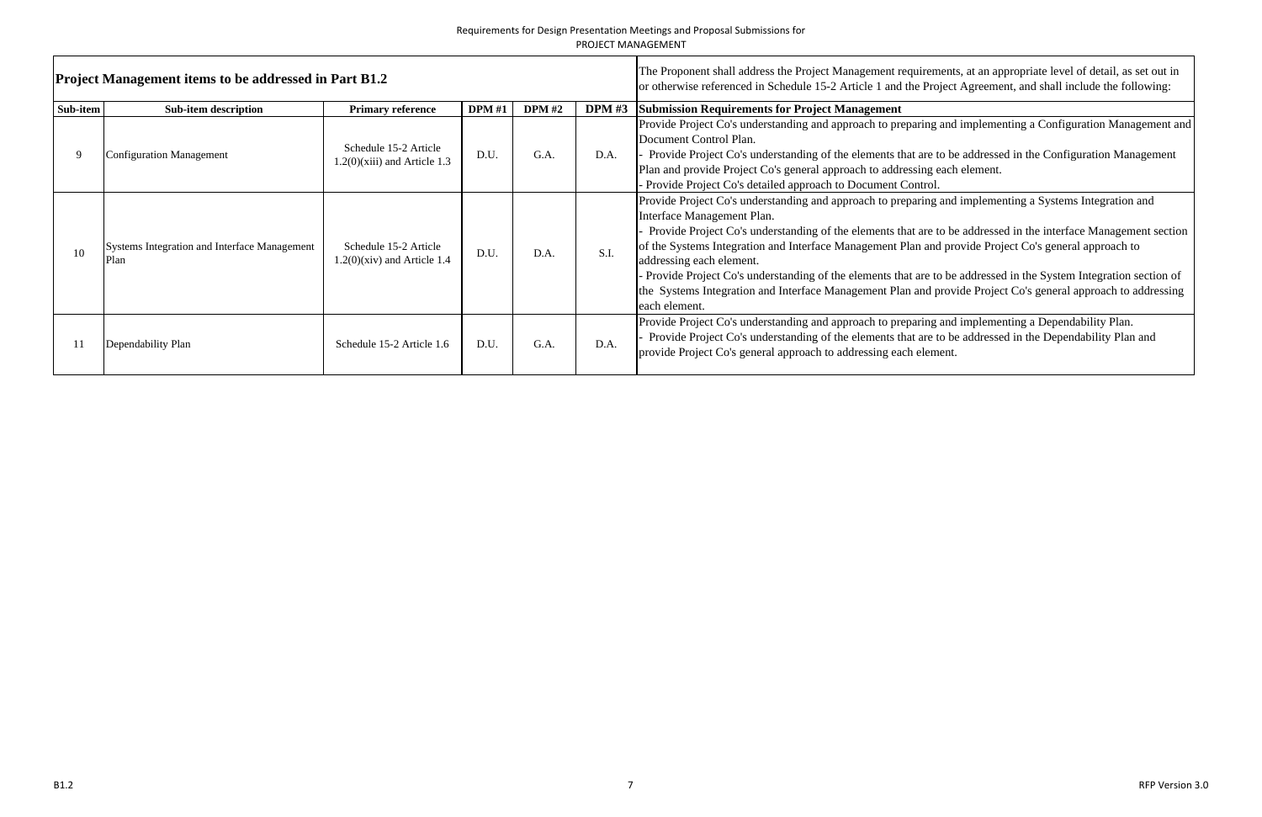|          | <b>Project Management items to be addressed in Part B1.2</b> | The Proponent shall address the Project Management requirement<br>or otherwise referenced in Schedule 15-2 Article 1 and the Project |               |               |               |                                                                                                                                                                                                                                                                                                                                                                                                                             |
|----------|--------------------------------------------------------------|--------------------------------------------------------------------------------------------------------------------------------------|---------------|---------------|---------------|-----------------------------------------------------------------------------------------------------------------------------------------------------------------------------------------------------------------------------------------------------------------------------------------------------------------------------------------------------------------------------------------------------------------------------|
| Sub-item | <b>Sub-item description</b>                                  | <b>Primary reference</b>                                                                                                             | <b>DPM #1</b> | <b>DPM</b> #2 | <b>DPM</b> #3 | <b>Submission Requirements for Project Management</b>                                                                                                                                                                                                                                                                                                                                                                       |
| 9        | <b>Configuration Management</b>                              | Schedule 15-2 Article<br>$1.2(0)(xiii)$ and Article 1.3                                                                              | D.U.          | G.A.          | D.A.          | Provide Project Co's understanding and approach to preparing and<br>Document Control Plan.<br>Provide Project Co's understanding of the elements that are to be<br>Plan and provide Project Co's general approach to addressing each<br>Provide Project Co's detailed approach to Document Control.                                                                                                                         |
| 10       | <b>Systems Integration and Interface Management</b><br>Plan  | Schedule 15-2 Article<br>$1.2(0)(\text{xiv})$ and Article 1.4                                                                        | D.U.          | D.A.          | S.I.          | Provide Project Co's understanding and approach to preparing and<br>Interface Management Plan.<br>Provide Project Co's understanding of the elements that are to be<br>of the Systems Integration and Interface Management Plan and pro<br>addressing each element.<br>Provide Project Co's understanding of the elements that are to be<br>the Systems Integration and Interface Management Plan and prov<br>each element. |
| 11       | Dependability Plan                                           | Schedule 15-2 Article 1.6                                                                                                            | D.U.          | G.A.          | D.A.          | Provide Project Co's understanding and approach to preparing and<br>Provide Project Co's understanding of the elements that are to be<br>provide Project Co's general approach to addressing each element.                                                                                                                                                                                                                  |

rements, at an appropriate level of detail, as set out in<br>Project Agreement, and shall include the following:

ng and implementing a Configuration Management and

re to be addressed in the Configuration Management g each element.

ng and implementing a Systems Integration and

re to be addressed in the interface Management section and provide Project Co's general approach to

e to be addressed in the System Integration section of d provide Project Co's general approach to addressing

Propide and implementing a Dependability Plan. re to be addressed in the Dependability Plan and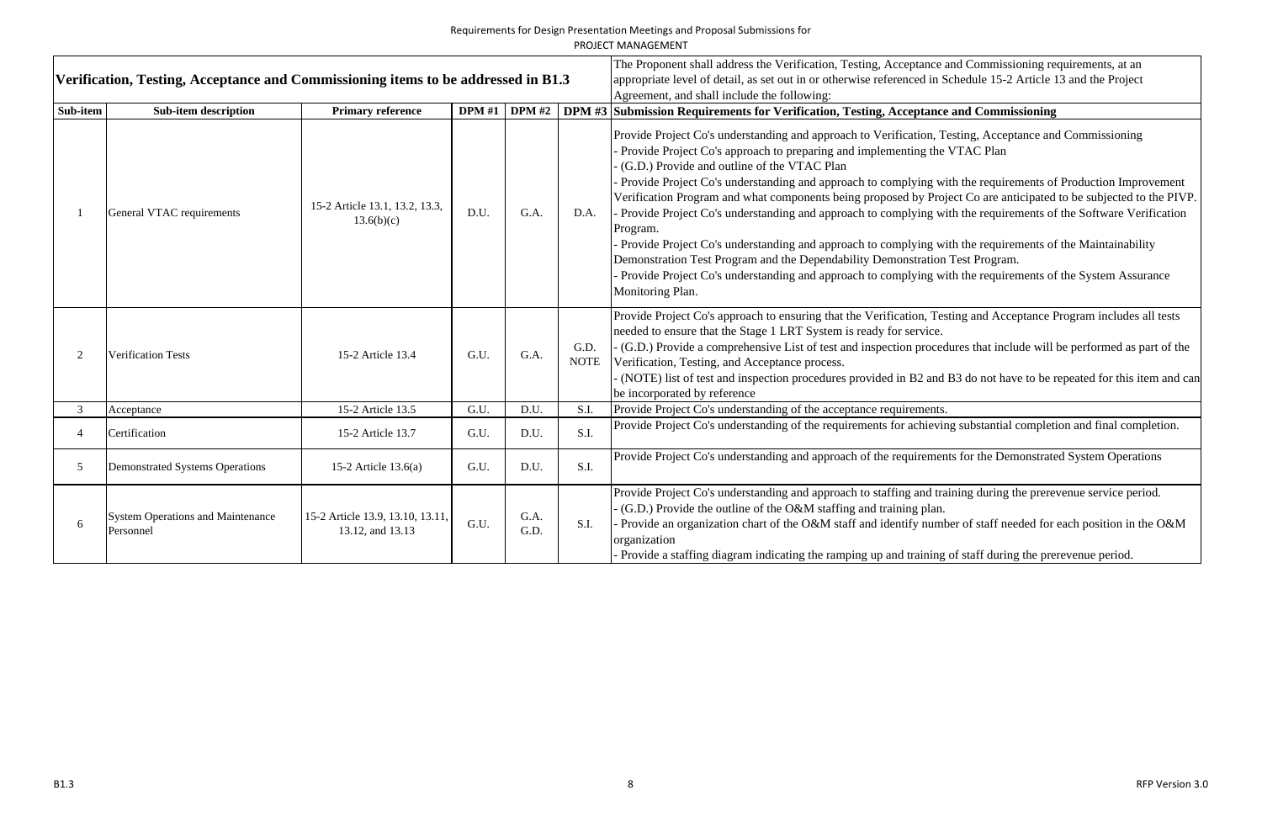|                | Verification, Testing, Acceptance and Commissioning items to be addressed in B1.3 |                                                      |               |               |                     | <b>PROJECT MANAGEMENT</b><br>The Proponent shall address the Verification, Testing, Acceptance a<br>appropriate level of detail, as set out in or otherwise referenced in S<br>Agreement, and shall include the following:                                                                                                                                                                                                                                                                                                                                                                                                       |
|----------------|-----------------------------------------------------------------------------------|------------------------------------------------------|---------------|---------------|---------------------|----------------------------------------------------------------------------------------------------------------------------------------------------------------------------------------------------------------------------------------------------------------------------------------------------------------------------------------------------------------------------------------------------------------------------------------------------------------------------------------------------------------------------------------------------------------------------------------------------------------------------------|
| Sub-item       | <b>Sub-item description</b>                                                       | <b>Primary reference</b>                             | <b>DPM</b> #1 | <b>DPM</b> #2 |                     | DPM #3 Submission Requirements for Verification, Testing, Acceptance                                                                                                                                                                                                                                                                                                                                                                                                                                                                                                                                                             |
| $\mathbf{1}$   | General VTAC requirements                                                         | 15-2 Article 13.1, 13.2, 13.3,<br>13.6(b)(c)         | D.U.          | G.A.          | D.A.                | Provide Project Co's understanding and approach to Verification, T<br>Provide Project Co's approach to preparing and implementing the<br>(G.D.) Provide and outline of the VTAC Plan<br>Provide Project Co's understanding and approach to complying w<br>Verification Program and what components being proposed by Pro<br>Provide Project Co's understanding and approach to complying w<br>Program.<br>Provide Project Co's understanding and approach to complying w<br>Demonstration Test Program and the Dependability Demonstration<br>Provide Project Co's understanding and approach to complying w<br>Monitoring Plan. |
| $\overline{2}$ | <b>Verification Tests</b>                                                         | 15-2 Article 13.4                                    | G.U.          | G.A.          | G.D.<br><b>NOTE</b> | Provide Project Co's approach to ensuring that the Verification, Tes<br>needed to ensure that the Stage 1 LRT System is ready for service.<br>- (G.D.) Provide a comprehensive List of test and inspection proced<br>Verification, Testing, and Acceptance process.<br>(NOTE) list of test and inspection procedures provided in B2 and<br>be incorporated by reference                                                                                                                                                                                                                                                          |
| $\mathfrak{Z}$ | Acceptance                                                                        | 15-2 Article 13.5                                    | G.U.          | D.U.          | S.I.                | Provide Project Co's understanding of the acceptance requirements.                                                                                                                                                                                                                                                                                                                                                                                                                                                                                                                                                               |
| $\overline{4}$ | Certification                                                                     | 15-2 Article 13.7                                    | G.U.          | D.U.          | S.I.                | Provide Project Co's understanding of the requirements for achievin                                                                                                                                                                                                                                                                                                                                                                                                                                                                                                                                                              |
| $\overline{5}$ | <b>Demonstrated Systems Operations</b>                                            | 15-2 Article $13.6(a)$                               | G.U.          | D.U.          | S.I.                | Provide Project Co's understanding and approach of the requirement                                                                                                                                                                                                                                                                                                                                                                                                                                                                                                                                                               |
| 6              | <b>System Operations and Maintenance</b><br>Personnel                             | 15-2 Article 13.9, 13.10, 13.11,<br>13.12, and 13.13 | G.U.          | G.A.<br>G.D.  | S.I.                | Provide Project Co's understanding and approach to staffing and tra<br>(G.D.) Provide the outline of the O&M staffing and training plan.<br>Provide an organization chart of the O&M staff and identify numb<br>organization<br>Provide a staffing diagram indicating the ramping up and training                                                                                                                                                                                                                                                                                                                                |

Ince and Commissioning requirements, at an l in Schedule 15-2 Article 13 and the Project

# ance and Commissioning

Propide Provide and Commissioning and Testing, Acceptance and Commissioning the VTAC Plan

ag with the requirements of Production Improvement Project Co are anticipated to be subjected to the PIVP. ng with the requirements of the Software Verification

ng with the requirements of the Maintainability ation Test Program.

ng with the requirements of the System Assurance

Provide approximate Coverige Coverification, Testing and Acceptance Program includes all tests

rocedures that include will be performed as part of the

and B3 do not have to be repeated for this item and can

rieving substantial completion and final completion.

ements for the Demonstrated System Operations

In training during the prerevenue service period.

number of staff needed for each position in the O&M

ning of staff during the prerevenue period.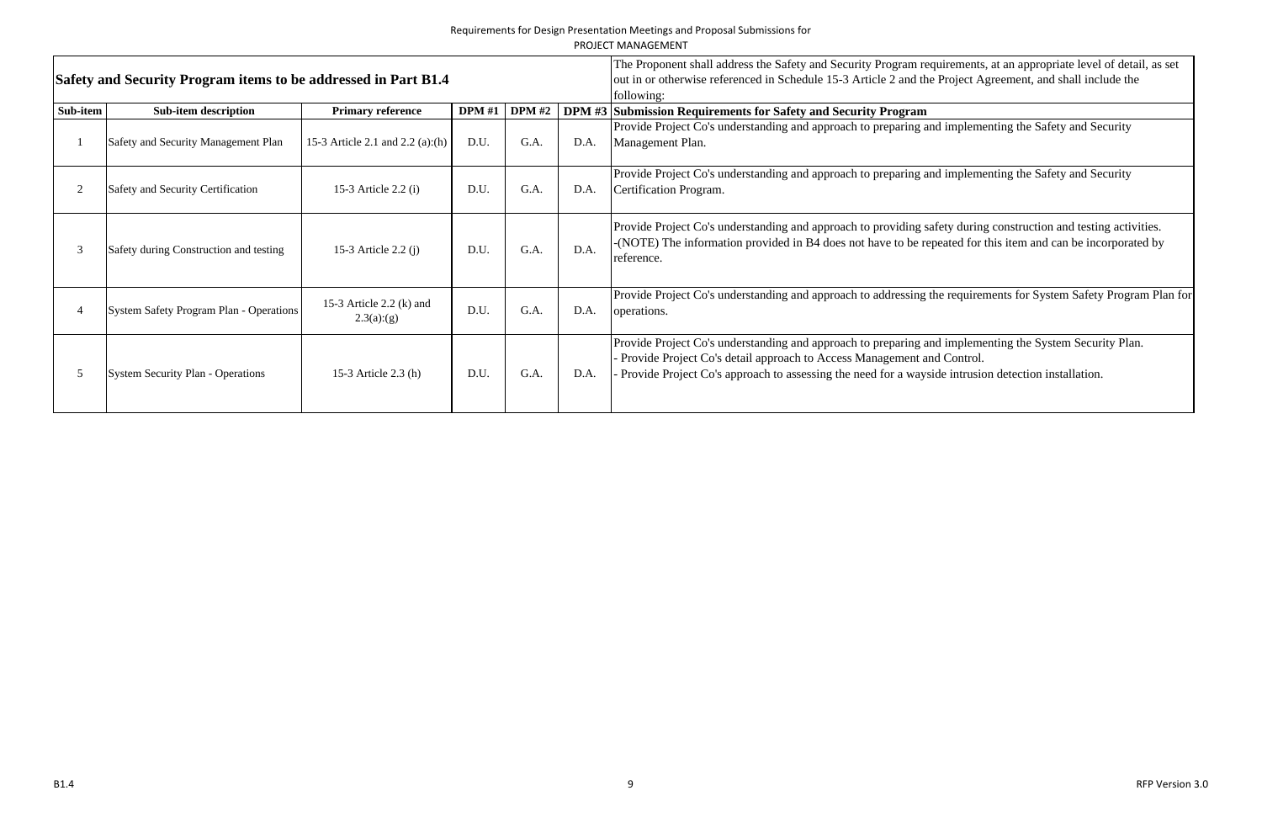|          | Safety and Security Program items to be addressed in Part B1.4 |                                         |               |               | The Proponent shall address the Safety and Security Program requirements, at an appropriate level of detail, as set<br>out in or otherwise referenced in Schedule 15-3 Article 2 and the Project Agreement, and shall include the<br>following: |                                                                                                                                                                                                                                                                                          |
|----------|----------------------------------------------------------------|-----------------------------------------|---------------|---------------|-------------------------------------------------------------------------------------------------------------------------------------------------------------------------------------------------------------------------------------------------|------------------------------------------------------------------------------------------------------------------------------------------------------------------------------------------------------------------------------------------------------------------------------------------|
| Sub-item | <b>Sub-item description</b>                                    | <b>Primary reference</b>                | <b>DPM</b> #1 | <b>DPM</b> #2 |                                                                                                                                                                                                                                                 | DPM #3 Submission Requirements for Safety and Security Program                                                                                                                                                                                                                           |
|          | Safety and Security Management Plan                            | 15-3 Article 2.1 and $2.2$ (a):(h)      | D.U.          | G.A.          | D.A.                                                                                                                                                                                                                                            | Provide Project Co's understanding and approach to preparing and implementing the Safety and Security<br>Management Plan.                                                                                                                                                                |
|          | Safety and Security Certification                              | 15-3 Article $2.2$ (i)                  | D.U.          | G.A.          | D.A.                                                                                                                                                                                                                                            | Provide Project Co's understanding and approach to preparing and implementing the Safety and Security<br>Certification Program.                                                                                                                                                          |
|          | Safety during Construction and testing                         | 15-3 Article $2.2$ (j)                  | D.U.          | G.A.          | D.A.                                                                                                                                                                                                                                            | Provide Project Co's understanding and approach to providing safety during construction and testing activities.<br>-(NOTE) The information provided in B4 does not have to be repeated for this item and can be incorporated by<br>reference.                                            |
|          | <b>System Safety Program Plan - Operations</b>                 | 15-3 Article 2.2 $(k)$ and<br>2.3(a)(g) | D.U.          | G.A.          | D.A.                                                                                                                                                                                                                                            | Provide Project Co's understanding and approach to addressing the requirements for System Safety Program Plan for<br>operations.                                                                                                                                                         |
|          | <b>System Security Plan - Operations</b>                       | 15-3 Article 2.3 (h)                    | D.U.          | G.A.          | D.A.                                                                                                                                                                                                                                            | Provide Project Co's understanding and approach to preparing and implementing the System Security Plan.<br>Provide Project Co's detail approach to Access Management and Control.<br>Provide Project Co's approach to assessing the need for a wayside intrusion detection installation. |

equirements, at an appropriate level of detail, as set he Project Agreement, and shall include the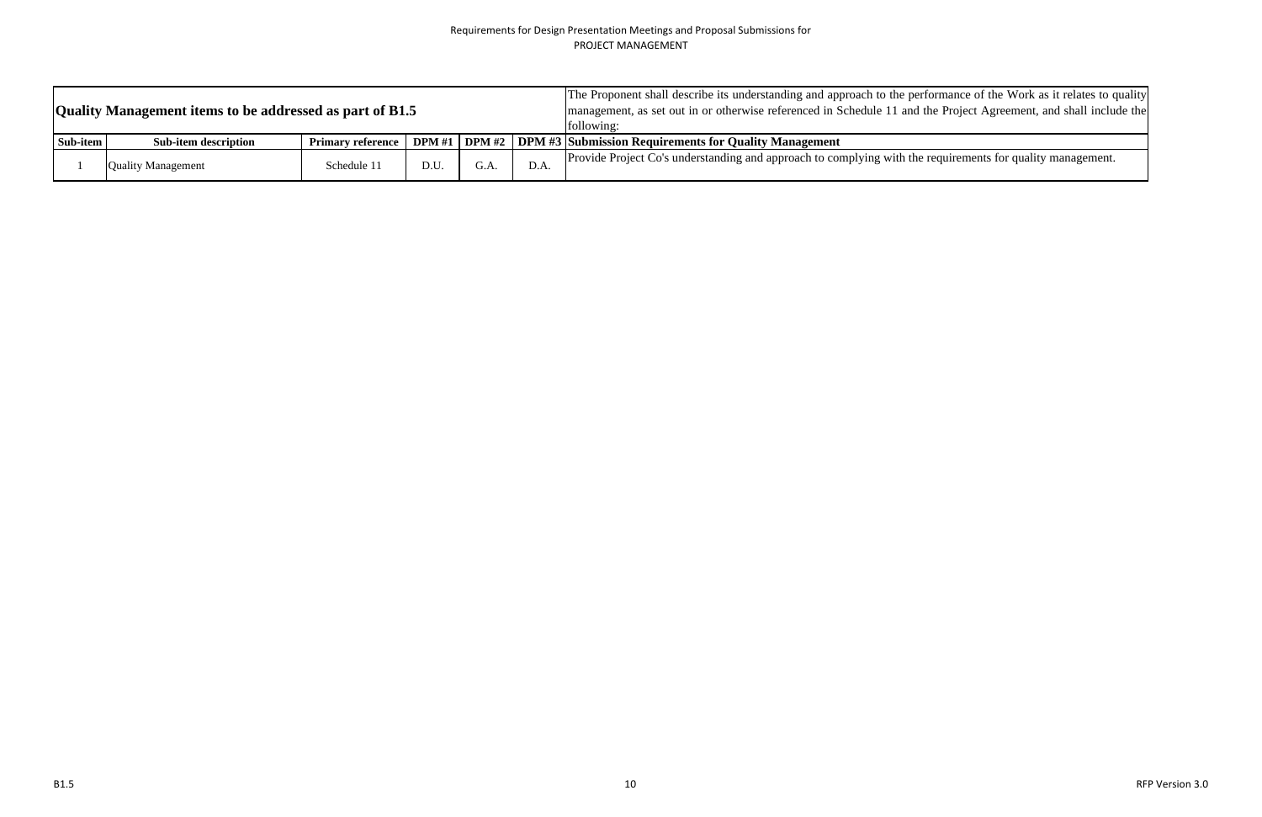|          | Quality Management items to be addressed as part of B1.5 |                          | The Proponent shall describe its understanding and approach to the perf<br>management, as set out in or otherwise referenced in Schedule 11 and t<br>following: |      |      |                                                                       |
|----------|----------------------------------------------------------|--------------------------|-----------------------------------------------------------------------------------------------------------------------------------------------------------------|------|------|-----------------------------------------------------------------------|
| Sub-item | <b>Sub-item description</b>                              | <b>Primary reference</b> | <b>DPM</b> #1                                                                                                                                                   |      |      | <b>DPM #2</b> DPM #3 Submission Requirements for Quality Management   |
|          | <b>Quality Management</b>                                | Schedule 11              | D.U.                                                                                                                                                            | G.A. | D.A. | Provide Project Co's understanding and approach to complying with the |

rformance of the Work as it relates to quality the Project Agreement, and shall include the

the equirements for quality management.